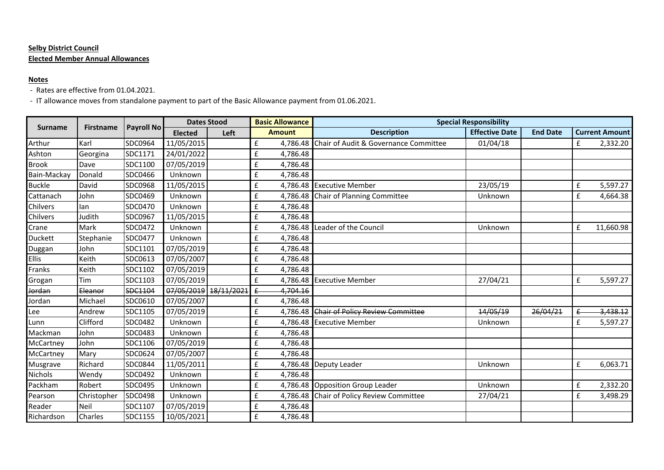## **Selby District Council Elected Member Annual Allowances**

## **Notes**

- Rates are effective from 01.04.2021.

- IT allowance moves from standalone payment to part of the Basic Allowance payment from 01.06.2021.

| <b>Surname</b> | <b>Firstname</b> | Payroll No | <b>Dates Stood</b> |            | <b>Basic Allowance</b> |               | <b>Special Responsibility</b>             |                       |                 |                       |           |
|----------------|------------------|------------|--------------------|------------|------------------------|---------------|-------------------------------------------|-----------------------|-----------------|-----------------------|-----------|
|                |                  |            | <b>Elected</b>     | Left       |                        | <b>Amount</b> | <b>Description</b>                        | <b>Effective Date</b> | <b>End Date</b> | <b>Current Amount</b> |           |
| Arthur         | Karl             | SDC0964    | 11/05/2015         |            | £                      | 4,786.48      | Chair of Audit & Governance Committee     | 01/04/18              |                 | £                     | 2,332.20  |
| Ashton         | Georgina         | SDC1171    | 24/01/2022         |            | £                      | 4,786.48      |                                           |                       |                 |                       |           |
| <b>Brook</b>   | Dave             | SDC1100    | 07/05/2019         |            | $\pmb{\mathsf{f}}$     | 4,786.48      |                                           |                       |                 |                       |           |
| Bain-Mackay    | Donald           | SDC0466    | Unknown            |            | $\mathbf f$            | 4,786.48      |                                           |                       |                 |                       |           |
| <b>Buckle</b>  | David            | SDC0968    | 11/05/2015         |            | $\pmb{\mathsf{f}}$     | 4,786.48      | <b>Executive Member</b>                   | 23/05/19              |                 | £                     | 5,597.27  |
| Cattanach      | John             | SDC0469    | Unknown            |            | $\pmb{\mathsf{f}}$     |               | 4,786.48 Chair of Planning Committee      | Unknown               |                 | £                     | 4,664.38  |
| Chilvers       | lan              | SDC0470    | Unknown            |            | $\pmb{\mathsf{f}}$     | 4,786.48      |                                           |                       |                 |                       |           |
| Chilvers       | Judith           | SDC0967    | 11/05/2015         |            | $\pmb{\mathsf{f}}$     | 4,786.48      |                                           |                       |                 |                       |           |
| Crane          | Mark             | SDC0472    | Unknown            |            | $\pmb{\mathsf{f}}$     | 4,786.48      | Leader of the Council                     | Unknown               |                 | £                     | 11,660.98 |
| <b>Duckett</b> | Stephanie        | SDC0477    | Unknown            |            | $\pmb{\mathsf{f}}$     | 4,786.48      |                                           |                       |                 |                       |           |
| Duggan         | John             | SDC1101    | 07/05/2019         |            | $\pmb{\mathsf{f}}$     | 4,786.48      |                                           |                       |                 |                       |           |
| <b>Ellis</b>   | Keith            | SDC0613    | 07/05/2007         |            | $\mathbf f$            | 4,786.48      |                                           |                       |                 |                       |           |
| Franks         | Keith            | SDC1102    | 07/05/2019         |            | $\pmb{\mathsf{f}}$     | 4,786.48      |                                           |                       |                 |                       |           |
| Grogan         | Tim              | SDC1103    | 07/05/2019         |            | $\pmb{\mathsf{f}}$     | 4,786.48      | <b>Executive Member</b>                   | 27/04/21              |                 | £                     | 5,597.27  |
| Jordan         | Eleanor          | SDC1104    | 07/05/2019         | 18/11/2021 | $\pmb{\mathsf{E}}$     | 4,704.16      |                                           |                       |                 |                       |           |
| Jordan         | Michael          | SDC0610    | 07/05/2007         |            | ${\bf f}$              | 4,786.48      |                                           |                       |                 |                       |           |
| Lee            | Andrew           | SDC1105    | 07/05/2019         |            | $\pmb{\mathsf{f}}$     |               | 4,786.48 Chair of Policy Review Committee | 14/05/19              | 26/04/21        |                       | 3,438.12  |
| Lunn           | Clifford         | SDC0482    | Unknown            |            | $\mathbf f$            | 4,786.48      | <b>Executive Member</b>                   | Unknown               |                 | £                     | 5,597.27  |
| Mackman        | John             | SDC0483    | Unknown            |            | $\pmb{\mathsf{f}}$     | 4,786.48      |                                           |                       |                 |                       |           |
| McCartney      | John             | SDC1106    | 07/05/2019         |            | $\pmb{\mathsf{f}}$     | 4,786.48      |                                           |                       |                 |                       |           |
| McCartney      | Mary             | SDC0624    | 07/05/2007         |            | $\pmb{\mathsf{f}}$     | 4,786.48      |                                           |                       |                 |                       |           |
| Musgrave       | Richard          | SDC0844    | 11/05/2011         |            | $\pmb{\mathsf{f}}$     | 4,786.48      | <b>Deputy Leader</b>                      | Unknown               |                 | £                     | 6,063.71  |
| <b>Nichols</b> | Wendy            | SDC0492    | Unknown            |            | $\mathbf f$            | 4,786.48      |                                           |                       |                 |                       |           |
| Packham        | Robert           | SDC0495    | Unknown            |            | $\pmb{\mathsf{f}}$     |               | 4,786.48 Opposition Group Leader          | Unknown               |                 | £                     | 2,332.20  |
| Pearson        | Christopher      | SDC0498    | Unknown            |            | $\pmb{\mathsf{f}}$     |               | 4,786.48 Chair of Policy Review Committee | 27/04/21              |                 | £                     | 3,498.29  |
| Reader         | Neil             | SDC1107    | 07/05/2019         |            | $\pmb{\mathsf{f}}$     | 4,786.48      |                                           |                       |                 |                       |           |
| Richardson     | <b>Charles</b>   | SDC1155    | 10/05/2021         |            | $\mathbf f$            | 4,786.48      |                                           |                       |                 |                       |           |